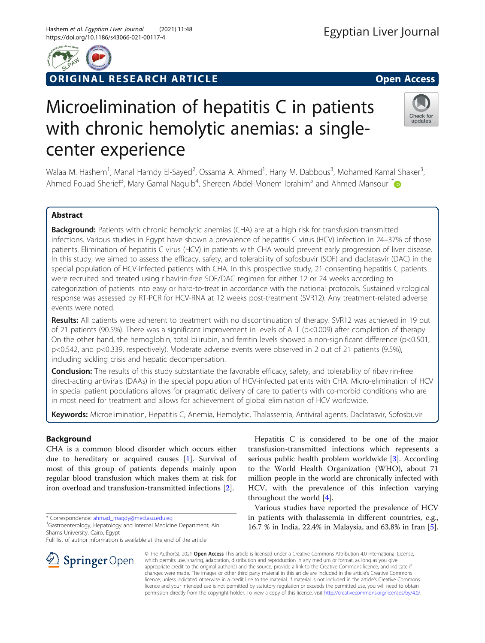

ORIGINAL RESEARCH ARTICLE **Solution Contract Contract Contract Contract Contract Contract Contract Contract Contract Contract Contract Contract Contract Contract Contract Contract Contract Contract Contract Contract Contra** 

## Check for updates

# Microelimination of hepatitis C in patients with chronic hemolytic anemias: a singlecenter experience

Walaa M. Hashem<sup>1</sup>, Manal Hamdy El-Sayed<sup>2</sup>, Ossama A. Ahmed<sup>1</sup>, Hany M. Dabbous<sup>3</sup>, Mohamed Kamal Shaker<sup>3</sup> , Ahmed Fouad Sherief<sup>3</sup>, Mary Gamal Naguib<sup>4</sup>, Shereen Abdel-Monem Ibrahim<sup>5</sup> and Ahmed Mansour<sup>1\*</sup>

## Abstract

Background: Patients with chronic hemolytic anemias (CHA) are at a high risk for transfusion-transmitted infections. Various studies in Egypt have shown a prevalence of hepatitis C virus (HCV) infection in 24–37% of those patients. Elimination of hepatitis C virus (HCV) in patients with CHA would prevent early progression of liver disease. In this study, we aimed to assess the efficacy, safety, and tolerability of sofosbuvir (SOF) and daclatasvir (DAC) in the special population of HCV-infected patients with CHA. In this prospective study, 21 consenting hepatitis C patients were recruited and treated using ribavirin-free SOF/DAC regimen for either 12 or 24 weeks according to categorization of patients into easy or hard-to-treat in accordance with the national protocols. Sustained virological response was assessed by RT-PCR for HCV-RNA at 12 weeks post-treatment (SVR12). Any treatment-related adverse events were noted.

Results: All patients were adherent to treatment with no discontinuation of therapy. SVR12 was achieved in 19 out of 21 patients (90.5%). There was a significant improvement in levels of ALT (p<0.009) after completion of therapy. On the other hand, the hemoglobin, total bilirubin, and ferritin levels showed a non-significant difference (p<0.501, p<0.542, and p<0.339, respectively). Moderate adverse events were observed in 2 out of 21 patients (9.5%), including sickling crisis and hepatic decompensation.

Conclusion: The results of this study substantiate the favorable efficacy, safety, and tolerability of ribavirin-free direct-acting antivirals (DAAs) in the special population of HCV-infected patients with CHA. Micro-elimination of HCV in special patient populations allows for pragmatic delivery of care to patients with co-morbid conditions who are in most need for treatment and allows for achievement of global elimination of HCV worldwide.

Keywords: Microelimination, Hepatitis C, Anemia, Hemolytic, Thalassemia, Antiviral agents, Daclatasvir, Sofosbuvir

## Background

CHA is a common blood disorder which occurs either due to hereditary or acquired causes [\[1](#page-5-0)]. Survival of most of this group of patients depends mainly upon regular blood transfusion which makes them at risk for iron overload and transfusion-transmitted infections [\[2](#page-5-0)].

\* Correspondence: [ahmad\\_magdy@med.asu.edu.eg](mailto:ahmad_magdy@med.asu.edu.eg) <sup>1</sup>

Full list of author information is available at the end of the article

Hepatitis C is considered to be one of the major transfusion-transmitted infections which represents a serious public health problem worldwide [\[3](#page-5-0)]. According to the World Health Organization (WHO), about 71 million people in the world are chronically infected with HCV, with the prevalence of this infection varying throughout the world [\[4](#page-5-0)].

Various studies have reported the prevalence of HCV in patients with thalassemia in different countries, e.g., 16.7 % in India, 22.4% in Malaysia, and 63.8% in Iran [\[5](#page-5-0)].



© The Author(s). 2021 Open Access This article is licensed under a Creative Commons Attribution 4.0 International License, which permits use, sharing, adaptation, distribution and reproduction in any medium or format, as long as you give appropriate credit to the original author(s) and the source, provide a link to the Creative Commons licence, and indicate if changes were made. The images or other third party material in this article are included in the article's Creative Commons licence, unless indicated otherwise in a credit line to the material. If material is not included in the article's Creative Commons licence and your intended use is not permitted by statutory regulation or exceeds the permitted use, you will need to obtain permission directly from the copyright holder. To view a copy of this licence, visit <http://creativecommons.org/licenses/by/4.0/>.

<sup>&</sup>lt;sup>1</sup> Gastroenterology, Hepatology and Internal Medicine Department, Ain Shams University, Cairo, Egypt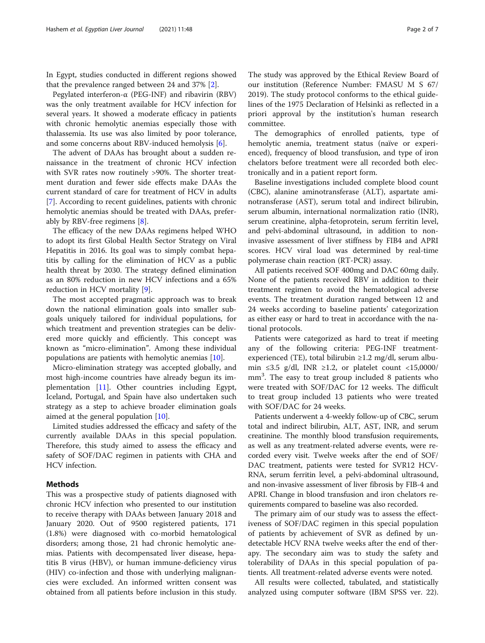In Egypt, studies conducted in different regions showed that the prevalence ranged between 24 and 37% [[2\]](#page-5-0).

Pegylated interferon-α (PEG-INF) and ribavirin (RBV) was the only treatment available for HCV infection for several years. It showed a moderate efficacy in patients with chronic hemolytic anemias especially those with thalassemia. Its use was also limited by poor tolerance, and some concerns about RBV-induced hemolysis [\[6](#page-5-0)].

The advent of DAAs has brought about a sudden renaissance in the treatment of chronic HCV infection with SVR rates now routinely >90%. The shorter treatment duration and fewer side effects make DAAs the current standard of care for treatment of HCV in adults [[7\]](#page-5-0). According to recent guidelines, patients with chronic hemolytic anemias should be treated with DAAs, preferably by RBV-free regimens [\[8](#page-5-0)].

The efficacy of the new DAAs regimens helped WHO to adopt its first Global Health Sector Strategy on Viral Hepatitis in 2016. Its goal was to simply combat hepatitis by calling for the elimination of HCV as a public health threat by 2030. The strategy defined elimination as an 80% reduction in new HCV infections and a 65% reduction in HCV mortality [\[9\]](#page-5-0).

The most accepted pragmatic approach was to break down the national elimination goals into smaller subgoals uniquely tailored for individual populations, for which treatment and prevention strategies can be delivered more quickly and efficiently. This concept was known as "micro-elimination". Among these individual populations are patients with hemolytic anemias [\[10\]](#page-5-0).

Micro-elimination strategy was accepted globally, and most high-income countries have already begun its implementation [\[11\]](#page-5-0). Other countries including Egypt, Iceland, Portugal, and Spain have also undertaken such strategy as a step to achieve broader elimination goals aimed at the general population [\[10](#page-5-0)].

Limited studies addressed the efficacy and safety of the currently available DAAs in this special population. Therefore, this study aimed to assess the efficacy and safety of SOF/DAC regimen in patients with CHA and HCV infection.

## Methods

This was a prospective study of patients diagnosed with chronic HCV infection who presented to our institution to receive therapy with DAAs between January 2018 and January 2020. Out of 9500 registered patients, 171 (1.8%) were diagnosed with co-morbid hematological disorders; among those, 21 had chronic hemolytic anemias. Patients with decompensated liver disease, hepatitis B virus (HBV), or human immune-deficiency virus (HIV) co-infection and those with underlying malignancies were excluded. An informed written consent was obtained from all patients before inclusion in this study.

The study was approved by the Ethical Review Board of our institution (Reference Number: FMASU M S 67/ 2019). The study protocol conforms to the ethical guidelines of the 1975 Declaration of Helsinki as reflected in a priori approval by the institution's human research committee.

The demographics of enrolled patients, type of hemolytic anemia, treatment status (naïve or experienced), frequency of blood transfusion, and type of iron chelators before treatment were all recorded both electronically and in a patient report form.

Baseline investigations included complete blood count (CBC), alanine aminotransferase (ALT), aspartate aminotransferase (AST), serum total and indirect bilirubin, serum albumin, international normalization ratio (INR), serum creatinine, alpha-fetoprotein, serum ferritin level, and pelvi-abdominal ultrasound, in addition to noninvasive assessment of liver stiffness by FIB4 and APRI scores. HCV viral load was determined by real-time polymerase chain reaction (RT-PCR) assay.

All patients received SOF 400mg and DAC 60mg daily. None of the patients received RBV in addition to their treatment regimen to avoid the hematological adverse events. The treatment duration ranged between 12 and 24 weeks according to baseline patients' categorization as either easy or hard to treat in accordance with the national protocols.

Patients were categorized as hard to treat if meeting any of the following criteria: PEG-INF treatmentexperienced (TE), total bilirubin ≥1.2 mg/dl, serum albumin ≤3.5 g/dl, INR ≥1.2, or platelet count <15,0000/ mm<sup>3</sup> . The easy to treat group included 8 patients who were treated with SOF/DAC for 12 weeks. The difficult to treat group included 13 patients who were treated with SOF/DAC for 24 weeks.

Patients underwent a 4-weekly follow-up of CBC, serum total and indirect bilirubin, ALT, AST, INR, and serum creatinine. The monthly blood transfusion requirements, as well as any treatment-related adverse events, were recorded every visit. Twelve weeks after the end of SOF/ DAC treatment, patients were tested for SVR12 HCV-RNA, serum ferritin level, a pelvi-abdominal ultrasound, and non-invasive assessment of liver fibrosis by FIB-4 and APRI. Change in blood transfusion and iron chelators requirements compared to baseline was also recorded.

The primary aim of our study was to assess the effectiveness of SOF/DAC regimen in this special population of patients by achievement of SVR as defined by undetectable HCV RNA twelve weeks after the end of therapy. The secondary aim was to study the safety and tolerability of DAAs in this special population of patients. All treatment-related adverse events were noted.

All results were collected, tabulated, and statistically analyzed using computer software (IBM SPSS ver. 22).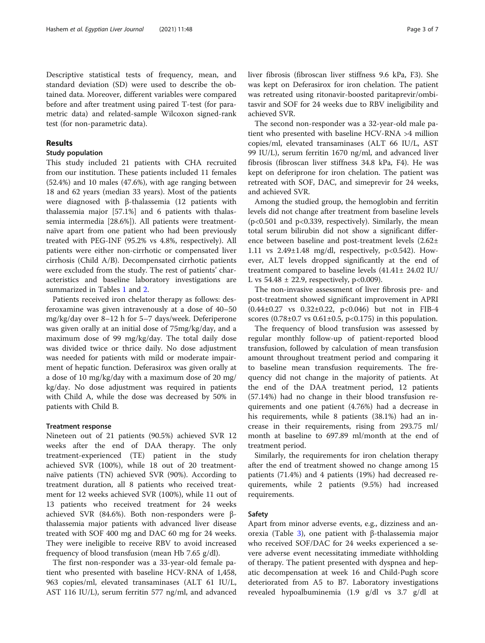Descriptive statistical tests of frequency, mean, and standard deviation (SD) were used to describe the obtained data. Moreover, different variables were compared before and after treatment using paired T-test (for parametric data) and related-sample Wilcoxon signed-rank test (for non-parametric data).

## Results

## Study population

This study included 21 patients with CHA recruited from our institution. These patients included 11 females (52.4%) and 10 males (47.6%), with age ranging between 18 and 62 years (median 33 years). Most of the patients were diagnosed with β-thalassemia (12 patients with thalassemia major [57.1%] and 6 patients with thalassemia intermedia [28.6%]). All patients were treatmentnaïve apart from one patient who had been previously treated with PEG-INF (95.2% vs 4.8%, respectively). All patients were either non-cirrhotic or compensated liver cirrhosis (Child A/B). Decompensated cirrhotic patients were excluded from the study. The rest of patients' characteristics and baseline laboratory investigations are summarized in Tables [1](#page-3-0) and [2](#page-3-0).

Patients received iron chelator therapy as follows: desferoxamine was given intravenously at a dose of 40–50 mg/kg/day over 8–12 h for 5–7 days/week. Deferiperone was given orally at an initial dose of 75mg/kg/day, and a maximum dose of 99 mg/kg/day. The total daily dose was divided twice or thrice daily. No dose adjustment was needed for patients with mild or moderate impairment of hepatic function. Deferasirox was given orally at a dose of 10 mg/kg/day with a maximum dose of 20 mg/ kg/day. No dose adjustment was required in patients with Child A, while the dose was decreased by 50% in patients with Child B.

## Treatment response

Nineteen out of 21 patients (90.5%) achieved SVR 12 weeks after the end of DAA therapy. The only treatment-experienced (TE) patient in the study achieved SVR (100%), while 18 out of 20 treatmentnaïve patients (TN) achieved SVR (90%). According to treatment duration, all 8 patients who received treatment for 12 weeks achieved SVR (100%), while 11 out of 13 patients who received treatment for 24 weeks achieved SVR (84.6%). Both non-responders were βthalassemia major patients with advanced liver disease treated with SOF 400 mg and DAC 60 mg for 24 weeks. They were ineligible to receive RBV to avoid increased frequency of blood transfusion (mean Hb 7.65 g/dl).

The first non-responder was a 33-year-old female patient who presented with baseline HCV-RNA of 1,458, 963 copies/ml, elevated transaminases (ALT 61 IU/L, AST 116 IU/L), serum ferritin 577 ng/ml, and advanced liver fibrosis (fibroscan liver stiffness 9.6 kPa, F3). She was kept on Deferasirox for iron chelation. The patient was retreated using ritonavir-boosted paritaprevir/ombitasvir and SOF for 24 weeks due to RBV ineligibility and achieved SVR.

The second non-responder was a 32-year-old male patient who presented with baseline HCV-RNA >4 million copies/ml, elevated transaminases (ALT 66 IU/L, AST 99 IU/L), serum ferritin 1670 ng/ml, and advanced liver fibrosis (fibroscan liver stiffness 34.8 kPa, F4). He was kept on deferiprone for iron chelation. The patient was retreated with SOF, DAC, and simeprevir for 24 weeks, and achieved SVR.

Among the studied group, the hemoglobin and ferritin levels did not change after treatment from baseline levels (p<0.501 and p<0.339, respectively). Similarly, the mean total serum bilirubin did not show a significant difference between baseline and post-treatment levels (2.62± 1.11 vs 2.49±1.48 mg/dl, respectively, p<0.542). However, ALT levels dropped significantly at the end of treatment compared to baseline levels (41.41± 24.02 IU/ L vs  $54.48 \pm 22.9$ , respectively, p<0.009).

The non-invasive assessment of liver fibrosis pre- and post-treatment showed significant improvement in APRI (0.44±0.27 vs 0.32±0.22, p<0.046) but not in FIB-4 scores  $(0.78 \pm 0.7 \text{ vs } 0.61 \pm 0.5, \text{ p} < 0.175)$  in this population.

The frequency of blood transfusion was assessed by regular monthly follow-up of patient-reported blood transfusion, followed by calculation of mean transfusion amount throughout treatment period and comparing it to baseline mean transfusion requirements. The frequency did not change in the majority of patients. At the end of the DAA treatment period, 12 patients (57.14%) had no change in their blood transfusion requirements and one patient (4.76%) had a decrease in his requirements, while 8 patients (38.1%) had an increase in their requirements, rising from 293.75 ml/ month at baseline to 697.89 ml/month at the end of treatment period.

Similarly, the requirements for iron chelation therapy after the end of treatment showed no change among 15 patients (71.4%) and 4 patients (19%) had decreased requirements, while 2 patients (9.5%) had increased requirements.

## Safety

Apart from minor adverse events, e.g., dizziness and anorexia (Table [3\)](#page-3-0), one patient with β-thalassemia major who received SOF/DAC for 24 weeks experienced a severe adverse event necessitating immediate withholding of therapy. The patient presented with dyspnea and hepatic decompensation at week 16 and Child-Pugh score deteriorated from A5 to B7. Laboratory investigations revealed hypoalbuminemia (1.9 g/dl vs 3.7 g/dl at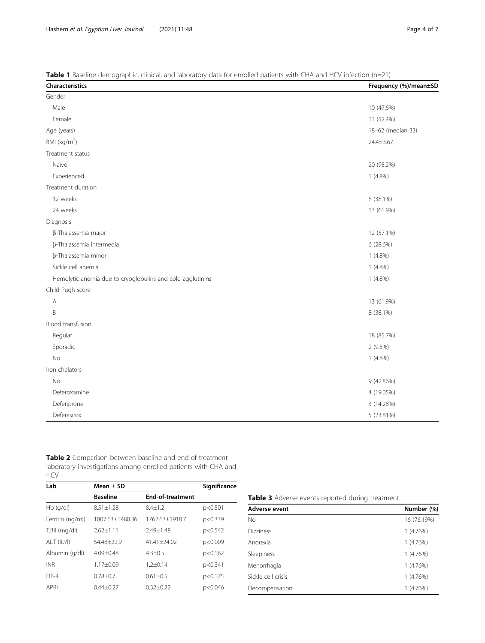<span id="page-3-0"></span>

| Characteristics                                            | Frequency (%)/mean±SD |
|------------------------------------------------------------|-----------------------|
| Gender                                                     |                       |
| Male                                                       | 10 (47.6%)            |
| Female                                                     | 11 (52.4%)            |
| Age (years)                                                | 18-62 (median 33)     |
| BMI ( $kg/m2$ )                                            | 24.4±3.67             |
| Treatment status                                           |                       |
| Naïve                                                      | 20 (95.2%)            |
| Experienced                                                | $1(4.8\%)$            |
| Treatment duration                                         |                       |
| 12 weeks                                                   | 8 (38.1%)             |
| 24 weeks                                                   | 13 (61.9%)            |
| Diagnosis                                                  |                       |
| β-Thalassemia major                                        | 12 (57.1%)            |
| β-Thalassemia intermedia                                   | 6 (28.6%)             |
| β-Thalassemia minor                                        | $1(4.8\%)$            |
| Sickle cell anemia                                         | $1(4.8\%)$            |
| Hemolytic anemia due to cryoglobulins and cold agglutinins | $1(4.8\%)$            |
| Child-Pugh score                                           |                       |
| Α                                                          | 13 (61.9%)            |
| B                                                          | 8 (38.1%)             |
| Blood transfusion                                          |                       |
| Regular                                                    | 18 (85.7%)            |
| Sporadic                                                   | 2 (9.5%)              |
| No                                                         | $1(4.8\%)$            |
| Iron chelators                                             |                       |
| <b>No</b>                                                  | 9 (42.86%)            |
| Deferoxamine                                               | 4 (19.05%)            |
| Deferiprone                                                | 3 (14.28%)            |
| Deferasirox                                                | 5 (23.81%)            |

| Table 2 Comparison between baseline and end-of-treatment       |
|----------------------------------------------------------------|
| laboratory investigations among enrolled patients with CHA and |
| <b>HCV</b>                                                     |

| Lab              | Mean $\pm$ SD   | Significance            |         |
|------------------|-----------------|-------------------------|---------|
|                  | <b>Baseline</b> | <b>End-of-treatment</b> |         |
| $Hb$ (q/dl)      | $8.51 + 1.28$   | $8.4 + 1.2$             | p<0.501 |
| Ferritin (ng/ml) | 1807.63+1480.36 | 1762.63+1918.7          | p<0.339 |
| T.Bil (mg/dl)    | $2.62 + 1.11$   | $7.49 + 1.48$           | p<0.542 |
| ALT (IU/I)       | 54.48+22.9      | $41.41 + 24.02$         | p<0.009 |
| Albumin (g/dl)   | $4.09 + 0.48$   | $4.3 \pm 0.5$           | p<0.182 |
| <b>INR</b>       | $1.17 + 0.09$   | $1.2 + 0.14$            | p<0.341 |
| $FIB-4$          | $0.78 + 0.7$    | $0.61 + 0.5$            | p<0.175 |
| <b>APRI</b>      | $0.44 \pm 0.27$ | $0.32 + 0.22$           | p<0.046 |

|  |  |  |  |  |  | Table 3 Adverse events reported during treatment |
|--|--|--|--|--|--|--------------------------------------------------|
|--|--|--|--|--|--|--------------------------------------------------|

| Adverse event      | Number (%)  |
|--------------------|-------------|
| <b>No</b>          | 16 (76.19%) |
| <b>Dizziness</b>   | 1(4.76%)    |
| Anorexia           | 1(4.76%)    |
| Sleepiness         | 1(4.76%)    |
| Menorrhagia        | 1(4.76%)    |
| Sickle cell crisis | 1(4.76%)    |
| Decompensation     | 1(4.76%)    |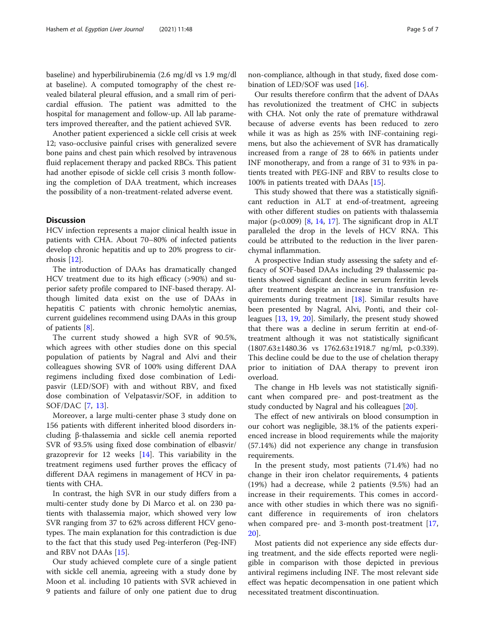baseline) and hyperbilirubinemia (2.6 mg/dl vs 1.9 mg/dl at baseline). A computed tomography of the chest revealed bilateral pleural effusion, and a small rim of pericardial effusion. The patient was admitted to the hospital for management and follow-up. All lab parameters improved thereafter, and the patient achieved SVR.

Another patient experienced a sickle cell crisis at week 12; vaso-occlusive painful crises with generalized severe bone pains and chest pain which resolved by intravenous fluid replacement therapy and packed RBCs. This patient had another episode of sickle cell crisis 3 month following the completion of DAA treatment, which increases the possibility of a non-treatment-related adverse event.

## **Discussion**

HCV infection represents a major clinical health issue in patients with CHA. About 70–80% of infected patients develop chronic hepatitis and up to 20% progress to cirrhosis [\[12\]](#page-5-0).

The introduction of DAAs has dramatically changed HCV treatment due to its high efficacy (>90%) and superior safety profile compared to INF-based therapy. Although limited data exist on the use of DAAs in hepatitis C patients with chronic hemolytic anemias, current guidelines recommend using DAAs in this group of patients [[8\]](#page-5-0).

The current study showed a high SVR of 90.5%, which agrees with other studies done on this special population of patients by Nagral and Alvi and their colleagues showing SVR of 100% using different DAA regimens including fixed dose combination of Ledipasvir (LED/SOF) with and without RBV, and fixed dose combination of Velpatasvir/SOF, in addition to SOF/DAC [[7,](#page-5-0) [13\]](#page-5-0).

Moreover, a large multi-center phase 3 study done on 156 patients with different inherited blood disorders including β-thalassemia and sickle cell anemia reported SVR of 93.5% using fixed dose combination of elbasvir/ grazoprevir for 12 weeks [\[14\]](#page-5-0). This variability in the treatment regimens used further proves the efficacy of different DAA regimens in management of HCV in patients with CHA.

In contrast, the high SVR in our study differs from a multi-center study done by Di Marco et al. on 230 patients with thalassemia major, which showed very low SVR ranging from 37 to 62% across different HCV genotypes. The main explanation for this contradiction is due to the fact that this study used Peg-interferon (Peg-INF) and RBV not DAAs [[15\]](#page-5-0).

Our study achieved complete cure of a single patient with sickle cell anemia, agreeing with a study done by Moon et al. including 10 patients with SVR achieved in 9 patients and failure of only one patient due to drug

Our results therefore confirm that the advent of DAAs has revolutionized the treatment of CHC in subjects with CHA. Not only the rate of premature withdrawal because of adverse events has been reduced to zero while it was as high as 25% with INF-containing regimens, but also the achievement of SVR has dramatically increased from a range of 28 to 66% in patients under INF monotherapy, and from a range of 31 to 93% in patients treated with PEG-INF and RBV to results close to 100% in patients treated with DAAs [\[15](#page-5-0)].

This study showed that there was a statistically significant reduction in ALT at end-of-treatment, agreeing with other different studies on patients with thalassemia major (p<0.009) [[8,](#page-5-0) [14](#page-5-0), [17](#page-5-0)]. The significant drop in ALT paralleled the drop in the levels of HCV RNA. This could be attributed to the reduction in the liver parenchymal inflammation.

A prospective Indian study assessing the safety and efficacy of SOF-based DAAs including 29 thalassemic patients showed significant decline in serum ferritin levels after treatment despite an increase in transfusion requirements during treatment [\[18\]](#page-6-0). Similar results have been presented by Nagral, Alvi, Ponti, and their colleagues [[13,](#page-5-0) [19](#page-6-0), [20\]](#page-6-0). Similarly, the present study showed that there was a decline in serum ferritin at end-oftreatment although it was not statistically significant (1807.63±1480.36 vs 1762.63±1918.7 ng/ml, p<0.339). This decline could be due to the use of chelation therapy prior to initiation of DAA therapy to prevent iron overload.

The change in Hb levels was not statistically significant when compared pre- and post-treatment as the study conducted by Nagral and his colleagues [\[20\]](#page-6-0).

The effect of new antivirals on blood consumption in our cohort was negligible, 38.1% of the patients experienced increase in blood requirements while the majority (57.14%) did not experience any change in transfusion requirements.

In the present study, most patients (71.4%) had no change in their iron chelator requirements, 4 patients (19%) had a decrease, while 2 patients (9.5%) had an increase in their requirements. This comes in accordance with other studies in which there was no significant difference in requirements of iron chelators when compared pre- and 3-month post-treatment [\[17](#page-5-0), [20\]](#page-6-0).

Most patients did not experience any side effects during treatment, and the side effects reported were negligible in comparison with those depicted in previous antiviral regimens including INF. The most relevant side effect was hepatic decompensation in one patient which necessitated treatment discontinuation.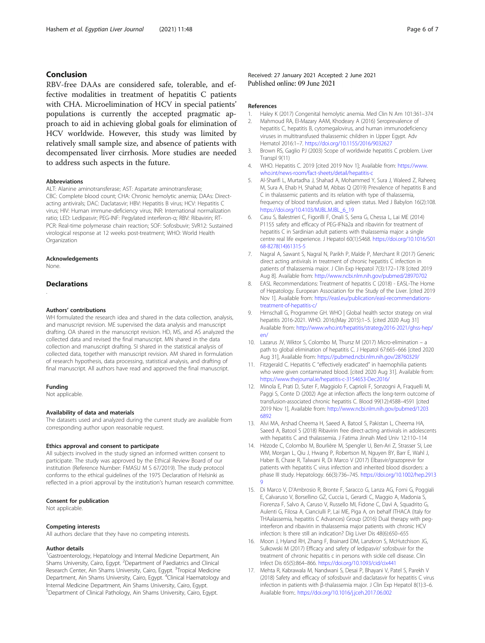## <span id="page-5-0"></span>Conclusion

RBV-free DAAs are considered safe, tolerable, and effective modalities in treatment of hepatitis C patients with CHA. Microelimination of HCV in special patients' populations is currently the accepted pragmatic approach to aid in achieving global goals for elimination of HCV worldwide. However, this study was limited by relatively small sample size, and absence of patients with decompensated liver cirrhosis. More studies are needed to address such aspects in the future.

#### **Abbreviations**

ALT: Alanine aminotransferase; AST: Aspartate aminotransferase; CBC: Complete blood count; CHA: Chronic hemolytic anemia; DAAs: Directacting antivirals; DAC: Daclatasvir; HBV: Hepatitis B virus; HCV: Hepatitis C virus; HIV: Human immune-deficiency virus; INR: International normalization ratio; LED: Ledipasvir; PEG-INF: Pegylated interferon-α; RBV: Ribavirin; RT-PCR: Real-time polymerase chain reaction; SOF: Sofosbuvir; SVR12: Sustained virological response at 12 weeks post-treatment; WHO: World Health Organization

#### Acknowledgements

None.

## **Declarations**

.

#### Authors' contributions

WH formulated the research idea and shared in the data collection, analysis, and manuscript revision. ME supervised the data analysis and manuscript drafting. OA shared in the manuscript revision. HD, MS, and AS analyzed the collected data and revised the final manuscript. MN shared in the data collection and manuscript drafting. SI shared in the statistical analysis of collected data, together with manuscript revision. AM shared in formulation of research hypothesis, data processing, statistical analysis, and drafting of final manuscript. All authors have read and approved the final manuscript.

#### Funding

Not applicable.

#### Availability of data and materials

The datasets used and analyzed during the current study are available from corresponding author upon reasonable request.

#### Ethics approval and consent to participate

All subjects involved in the study signed an informed written consent to participate. The study was approved by the Ethical Review Board of our institution (Reference Number: FMASU M S 67/2019). The study protocol conforms to the ethical guidelines of the 1975 Declaration of Helsinki as reflected in a priori approval by the institution's human research committee.

#### Consent for publication

Not applicable.

#### Competing interests

All authors declare that they have no competing interests.

## Author details

<sup>1</sup>Gastroenterology, Hepatology and Internal Medicine Department, Ain Shams University, Cairo, Egypt. <sup>2</sup> Department of Paediatrics and Clinical Research Center, Ain Shams University, Cairo, Egypt. <sup>3</sup>Tropical Medicine Department, Ain Shams University, Cairo, Egypt. <sup>4</sup>Clinical Haematology and Internal Medicine Department, Ain Shams University, Cairo, Egypt. 5 Department of Clinical Pathology, Ain Shams University, Cairo, Egypt.

## Received: 27 January 2021 Accepted: 2 June 2021 Published online: 09 June 2021

#### References

- 1. Haley K (2017) Congenital hemolytic anemia. Med Clin N Am 101:361–374
- 2. Mahmoud RA, El-Mazary AAM, Khodeary A (2016) Seroprevalence of hepatitis C, hepatitis B, cytomegalovirus, and human immunodeficiency viruses in multitransfused thalassemic children in Upper Egypt. Adv Hematol 2016:1–7. <https://doi.org/10.1155/2016/9032627>
- 3. Brown RS, Gaglio PJ (2003) Scope of worldwide hepatitis C problem. Liver Transpl 9(11)
- 4. WHO. Hepatitis C. 2019 [cited 2019 Nov 1]; Available from: [https://www.](https://www.who.int/news-room/fact-sheets/detail/hepatitis-c) [who.int/news-room/fact-sheets/detail/hepatitis-c](https://www.who.int/news-room/fact-sheets/detail/hepatitis-c)
- 5. Al-Sharifi L, Murtadha J, Shahad A, Mohammed Y, Sura J, Waleed Z, Raheeq M, Sura A, Ehab H, Shahad M, Abbas Q (2019) Prevalence of hepatitis B and C in thalassemic patients and its relation with type of thalassemia, frequency of blood transfusion, and spleen status. Med J Babylon 16(2):108. [https://doi.org/10.4103/MJBL.MJBL\\_6\\_19](https://doi.org/10.4103/MJBL.MJBL_6_19)
- 6. Casu S, Balestrieri C, Figorilli F, Onali S, Serra G, Chessa L, Lai ME (2014) P1155 safety and efficacy of PEG-IFNa2a and ribavirin for treatment of hepatitis C in Sardinian adult patients with thalassemia major: a single centre real life experience. J Hepatol 60(1):S468. [https://doi.org/10.1016/S01](https://doi.org/10.1016/S0168-8278(14)61315-5) [68-8278\(14\)61315-5](https://doi.org/10.1016/S0168-8278(14)61315-5)
- 7. Nagral A, Sawant S, Nagral N, Parikh P, Malde P, Merchant R (2017) Generic direct acting antivirals in treatment of chronic hepatitis C infection in patients of thalassemia major. J Clin Exp Hepatol 7(3):172–178 [cited 2019 Aug 8]. Available from: <http://www.ncbi.nlm.nih.gov/pubmed/28970702>
- 8. EASL Recommendations: Treatment of hepatitis C (2018) EASL-The Home of Hepatology. European Association for the Study of the Liver. [cited 2019 Nov 1]. Available from: [https://easl.eu/publication/easl-recommendations](https://easl.eu/publication/easl-recommendations-treatment-of-hepatitis-c/)[treatment-of-hepatitis-c/](https://easl.eu/publication/easl-recommendations-treatment-of-hepatitis-c/)
- Hirnschall G, Programme GH. WHO | Global health sector strategy on viral hepatitis 2016-2021. WHO. 2016;(May 2015):1–5. [cited 2020 Aug 31] Available from: [http://www.who.int/hepatitis/strategy2016-2021/ghss-hep/](http://www.who.int/hepatitis/strategy2016-2021/ghss-hep/en/) [en/](http://www.who.int/hepatitis/strategy2016-2021/ghss-hep/en/)
- 10. Lazarus JV, Wiktor S, Colombo M, Thursz M (2017) Micro-elimination a path to global elimination of hepatitis C. J Hepatol 67:665–666 [cited 2020 Aug 31], Available from: <https://pubmed.ncbi.nlm.nih.gov/28760329/>
- 11. Fitzgerald C. Hepatitis C "effectively eradicated" in haemophilia patients who were given contaminated blood. [cited 2020 Aug 31]. Available from: <https://www.thejournal.ie/hepatitis-c-3154653-Dec2016/>
- 12. Minola E, Prati D, Suter F, Maggiolo F, Caprioli F, Sonzogni A, Fraquelli M, Paggi S, Conte D (2002) Age at infection affects the long-term outcome of transfusion-associated chronic hepatitis C. Blood 99(12):4588–4591 [cited 2019 Nov 1], Available from: [http://www.ncbi.nlm.nih.gov/pubmed/1203](http://www.ncbi.nlm.nih.gov/pubmed/12036892) [6892](http://www.ncbi.nlm.nih.gov/pubmed/12036892)
- 13. Alvi MA, Arshad Cheema H, Saeed A, Batool S, Pakistan L, Cheema HA, Saeed A, Batool S (2018) Ribavirin free direct-acting antivirals in adolescents with hepatitis C and thalassemia. J Fatima Jinnah Med Univ 12:110–114
- 14. Hézode C, Colombo M, Bourlière M, Spengler U, Ben-Ari Z, Strasser SI, Lee WM, Morgan L, Qiu J, Hwang P, Robertson M, Nguyen BY, Barr E, Wahl J, Haber B, Chase R, Talwani R, Di Marco V (2017) Elbasvir/grazoprevir for patients with hepatitis C virus infection and inherited blood disorders: a phase III study. Hepatology. 66(3):736–745. [https://doi.org/10.1002/hep.2913](https://doi.org/10.1002/hep.29139) [9](https://doi.org/10.1002/hep.29139)
- 15. Di Marco V, D'Ambrosio R, Bronte F, Saracco G, Lanza AG, Forni G, Poggiali E, Calvaruso V, Borsellino GZ, Cuccia L, Gerardi C, Maggio A, Madonia S, Fiorenza F, Salvo A, Caruso V, Russello MI, Fidone C, Davì A, Squadrito G, Aulenti G, Filosa A, Cianciulli P, Lai ME, Piga A, on behalf ITHACA (Italy for THAalassemia, hepatitis C Advances) Group (2016) Dual therapy with peginterferon and ribavirin in thalassemia major patients with chronic HCV infection: Is there still an indication? Dig Liver Dis 48(6):650–655
- 16. Moon J, Hyland RH, Zhang F, Brainard DM, Lanzkron S, McHutchison JG, Sulkowski M (2017) Efficacy and safety of ledipasvir/ sofosbuvir for the treatment of chronic hepatitis c in persons with sickle cell disease. Clin Infect Dis 65(5):864–866. <https://doi.org/10.1093/cid/cix441>
- 17. Mehta R, Kabrawala M, Nandwani S, Desai P, Bhayani V, Patel S, Parekh V (2018) Safety and efficacy of sofosbuvir and daclatasvir for hepatitis C virus infection in patients with β-thalassemia major. J Clin Exp Hepatol 8(1):3–6. Available from:. <https://doi.org/10.1016/j.jceh.2017.06.002>